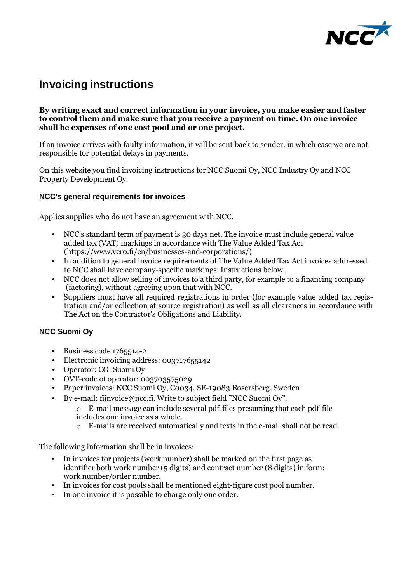

# **Invoicing instructions**

#### **By writing exact and correct information in your invoice, you make easier and faster to control them and make sure that you receive a payment on time. On one invoice shall be expenses of one cost pool and or one project.**

If an invoice arrives with faulty information, it will be sent back to sender; in which case we are not responsible for potential delays in payments.

On this website you find invoicing instructions for NCC Suomi Oy, NCC Industry Oy and NCC Property Development Oy.

### **NCC's general requirements for invoices**

Applies supplies who do not have an agreement with NCC.

- NCC's standard term of payment is 30 days net. The invoice must include general value added tax (VAT) markings in accordance with The Value Added Tax Act (https:/[/www.vero.fi/en/businesses-and-corporations/\)](http://www.vero.fi/en/businesses-and-corporations/))
- In addition to general invoice requirements of The Value Added Tax Act invoices addressed to NCC shall have company-specific markings. Instructions below.
- NCC does not allow selling of invoices to a third party, for example to a financing company (factoring), without agreeing upon that with NCC.
- Suppliers must have all required registrations in order (for example value added tax registration and/or collection at source registration) as well as all clearances in accordance with The Act on the Contractor's Obligations and Liability.

## **NCC Suomi Oy**

- Business code 1765514-2
- Electronic invoicing address: 003717655142
- Operator: CGI Suomi Oy
- OVT-code of operator: 003703575029
- Paper invoices: NCC Suomi Oy, Coo34, SE-19083 Rosersberg, Sweden
- By e-mail: fiinvoice@ncc.fi. Write to subject field "NCC Suomi Oy".

o E-mail message can include several pdf-files presuming that each pdf-file includes one invoice as a whole.

o E-mails are received automatically and texts in the e-mail shall not be read.

The following information shall be in invoices:

- In invoices for projects (work number) shall be marked on the first page as identifier both work number (5 digits) and contract number (8 digits) in form: work number/order number.
- In invoices for cost pools shall be mentioned eight-figure cost pool number.
- In one invoice it is possible to charge only one order.